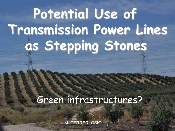# **Potential Use of Transmission Power Lines as Stepping Stones**

# Green infrastructures?

M. FERRER CSIC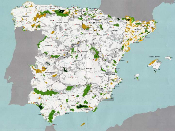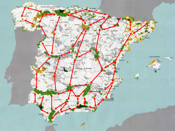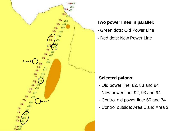

#### **Two power lines in parallel:**

- Green dots: Old Power Line
- Red dots: New Power Line

#### **Selected pylons:**

- Old power line: 82, 83 and 84
- New power line: 92, 93 and 94
- Control old power line: 65 and 74
- Control outside: Area 1 and Area 2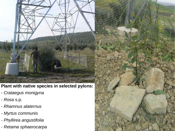**Plant with native species in selected pylons:** 

- Crataegus monigyna
- Rosa s.p.
- Rhamnus alaternus
- Myrtus communis
- Phyllirea angustifolia
- Retama sphaerocarpa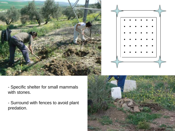



- Specific shelter for small mammals with stones.
- Surround with fences to avoid plant predation.

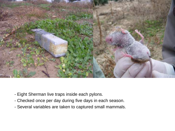

- Eight Sherman live traps inside each pylons.
- Checked once per day during five days in each season.
- Several variables are taken to captured small mammals.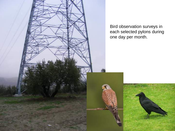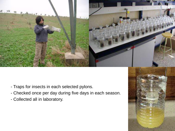

- Traps for insects in each selected pylons.
- Checked once per day during five days in each season.
- Collected all in laboratory.

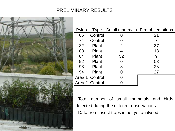#### PRELIMINARY RESULTS



|         |                                  | <b>Small mammals Bird observations</b> |
|---------|----------------------------------|----------------------------------------|
| Control |                                  | 21                                     |
| Control | $\mathbf \Omega$                 |                                        |
| Plant   | $\overline{2}$                   | 37                                     |
| Plant   | 4                                | 13                                     |
| Plant   | 52                               | 9                                      |
| Plant   | 0                                | 53                                     |
| Plant   | 3                                | 23                                     |
| Plant   | Ω                                | 27                                     |
|         |                                  |                                        |
|         |                                  |                                        |
|         | Area 1 Control<br>Area 2 Control | Type                                   |

- Total number of small mammals and birds detected during the different observations.
- Data from insect traps is not yet analysed.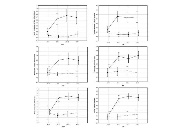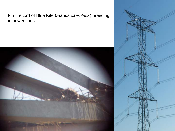#### First record of Blue Kite (Elanus caeruleus) breeding in power lines